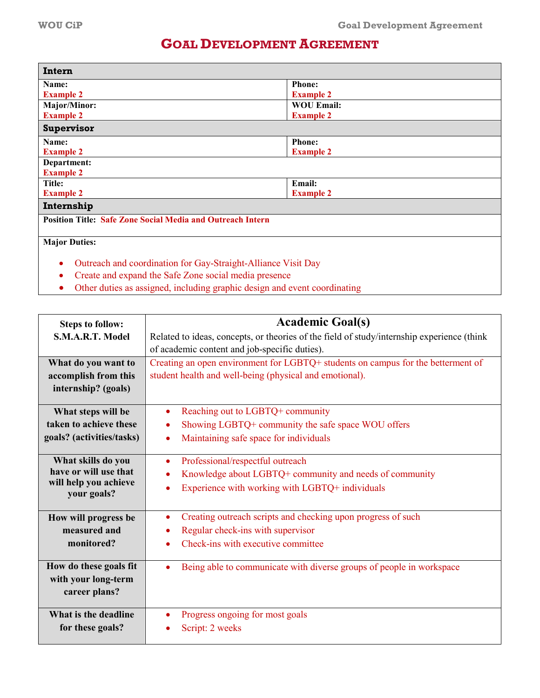## **GOAL DEVELOPMENT AGREEMENT**

| Intern                                                                     |                   |  |
|----------------------------------------------------------------------------|-------------------|--|
| Name:                                                                      | <b>Phone:</b>     |  |
| <b>Example 2</b>                                                           | <b>Example 2</b>  |  |
| Major/Minor:                                                               | <b>WOU Email:</b> |  |
| <b>Example 2</b>                                                           | <b>Example 2</b>  |  |
| Supervisor                                                                 |                   |  |
| Name:                                                                      | <b>Phone:</b>     |  |
| <b>Example 2</b>                                                           | <b>Example 2</b>  |  |
| Department:                                                                |                   |  |
| <b>Example 2</b>                                                           |                   |  |
| Title:                                                                     | <b>Email:</b>     |  |
| <b>Example 2</b>                                                           | <b>Example 2</b>  |  |
| Internship                                                                 |                   |  |
| <b>Position Title: Safe Zone Social Media and Outreach Intern</b>          |                   |  |
|                                                                            |                   |  |
| <b>Major Duties:</b>                                                       |                   |  |
|                                                                            |                   |  |
| Outreach and coordination for Gay-Straight-Alliance Visit Day<br>$\bullet$ |                   |  |
| Create and expand the Safe Zone social media presence<br>$\bullet$         |                   |  |

• Other duties as assigned, including graphic design and event coordinating

| <b>Steps to follow:</b>                                                                                     | <b>Academic Goal(s)</b>                                                                                                                                                                                        |  |  |
|-------------------------------------------------------------------------------------------------------------|----------------------------------------------------------------------------------------------------------------------------------------------------------------------------------------------------------------|--|--|
| S.M.A.R.T. Model                                                                                            | Related to ideas, concepts, or theories of the field of study/internship experience (think                                                                                                                     |  |  |
|                                                                                                             | of academic content and job-specific duties).                                                                                                                                                                  |  |  |
| What do you want to                                                                                         | Creating an open environment for LGBTQ+ students on campus for the betterment of                                                                                                                               |  |  |
| accomplish from this                                                                                        | student health and well-being (physical and emotional).                                                                                                                                                        |  |  |
| internship? (goals)                                                                                         |                                                                                                                                                                                                                |  |  |
| What steps will be                                                                                          | Reaching out to LGBTQ+ community                                                                                                                                                                               |  |  |
| taken to achieve these                                                                                      | Showing LGBTQ+ community the safe space WOU offers                                                                                                                                                             |  |  |
| goals? (activities/tasks)                                                                                   | Maintaining safe space for individuals                                                                                                                                                                         |  |  |
| What skills do you<br>have or will use that<br>will help you achieve<br>your goals?<br>How will progress be | Professional/respectful outreach<br>Knowledge about LGBTQ+ community and needs of community<br>Experience with working with LGBTQ+ individuals<br>Creating outreach scripts and checking upon progress of such |  |  |
| measured and                                                                                                | Regular check-ins with supervisor                                                                                                                                                                              |  |  |
| monitored?                                                                                                  | Check-ins with executive committee                                                                                                                                                                             |  |  |
| How do these goals fit<br>with your long-term<br>career plans?                                              | Being able to communicate with diverse groups of people in workspace                                                                                                                                           |  |  |
| What is the deadline<br>for these goals?                                                                    | Progress ongoing for most goals<br>Script: 2 weeks                                                                                                                                                             |  |  |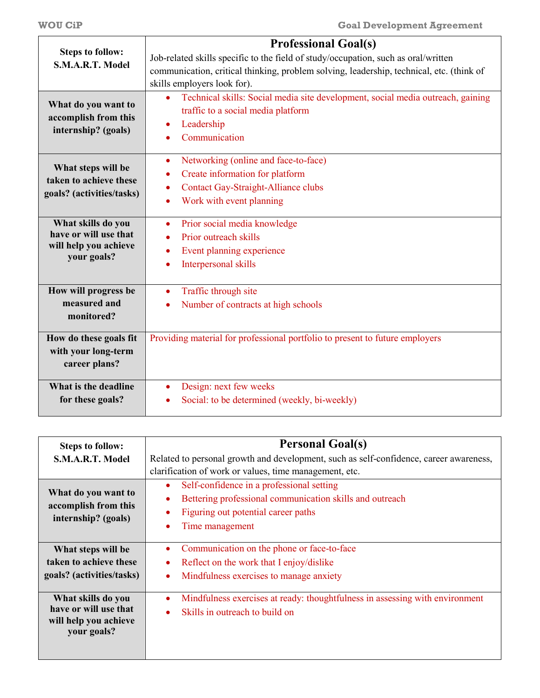|                                             | <b>Professional Goal(s)</b>                                                                  |  |
|---------------------------------------------|----------------------------------------------------------------------------------------------|--|
| <b>Steps to follow:</b><br>S.M.A.R.T. Model | Job-related skills specific to the field of study/occupation, such as oral/written           |  |
|                                             | communication, critical thinking, problem solving, leadership, technical, etc. (think of     |  |
|                                             | skills employers look for).                                                                  |  |
| What do you want to<br>accomplish from this | Technical skills: Social media site development, social media outreach, gaining<br>$\bullet$ |  |
|                                             | traffic to a social media platform<br>Leadership<br>$\bullet$                                |  |
| internship? (goals)                         | Communication<br>$\bullet$                                                                   |  |
|                                             |                                                                                              |  |
| What steps will be                          | Networking (online and face-to-face)<br>$\bullet$                                            |  |
| taken to achieve these                      | Create information for platform<br>٠                                                         |  |
| goals? (activities/tasks)                   | <b>Contact Gay-Straight-Alliance clubs</b><br>۰                                              |  |
|                                             | Work with event planning                                                                     |  |
| What skills do you                          | Prior social media knowledge<br>$\bullet$                                                    |  |
| have or will use that                       | Prior outreach skills                                                                        |  |
| will help you achieve<br>your goals?        | Event planning experience<br>٠                                                               |  |
|                                             | Interpersonal skills<br>۰                                                                    |  |
| How will progress be                        | Traffic through site<br>$\bullet$                                                            |  |
| measured and                                | Number of contracts at high schools<br>٠                                                     |  |
| monitored?                                  |                                                                                              |  |
| How do these goals fit                      | Providing material for professional portfolio to present to future employers                 |  |
| with your long-term                         |                                                                                              |  |
| career plans?                               |                                                                                              |  |
| What is the deadline                        | Design: next few weeks                                                                       |  |
| for these goals?                            | Social: to be determined (weekly, bi-weekly)                                                 |  |
|                                             |                                                                                              |  |

| <b>Steps to follow:</b>   | <b>Personal Goal(s)</b>                                                                |  |  |
|---------------------------|----------------------------------------------------------------------------------------|--|--|
| S.M.A.R.T. Model          | Related to personal growth and development, such as self-confidence, career awareness, |  |  |
|                           | clarification of work or values, time management, etc.                                 |  |  |
| What do you want to       | Self-confidence in a professional setting                                              |  |  |
| accomplish from this      | Bettering professional communication skills and outreach                               |  |  |
| internship? (goals)       | Figuring out potential career paths                                                    |  |  |
|                           | Time management                                                                        |  |  |
|                           |                                                                                        |  |  |
| What steps will be        | Communication on the phone or face-to-face                                             |  |  |
| taken to achieve these    | Reflect on the work that I enjoy/dislike                                               |  |  |
| goals? (activities/tasks) | Mindfulness exercises to manage anxiety                                                |  |  |
|                           |                                                                                        |  |  |
| What skills do you        | Mindfulness exercises at ready: thoughtfulness in assessing with environment           |  |  |
| have or will use that     | Skills in outreach to build on                                                         |  |  |
| will help you achieve     |                                                                                        |  |  |
| your goals?               |                                                                                        |  |  |
|                           |                                                                                        |  |  |